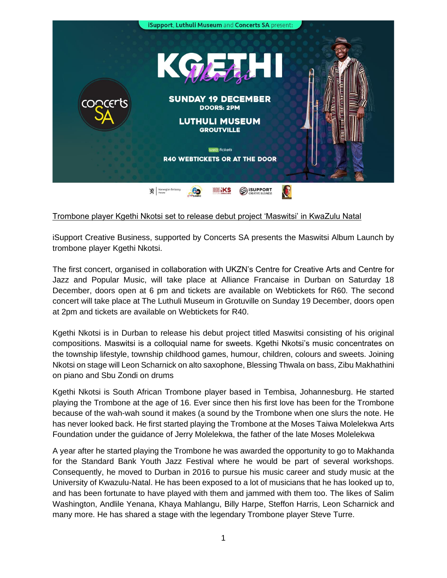

## Trombone player Kgethi Nkotsi set to release debut project 'Maswitsi' in KwaZulu Natal

iSupport Creative Business, supported by Concerts SA presents the Maswitsi Album Launch by trombone player Kgethi Nkotsi.

The first concert, organised in collaboration with UKZN's Centre for Creative Arts and Centre for Jazz and Popular Music, will take place at Alliance Francaise in Durban on Saturday 18 December, doors open at 6 pm and tickets are available on Webtickets for R60. The second concert will take place at The Luthuli Museum in Grotuville on Sunday 19 December, doors open at 2pm and tickets are available on Webtickets for R40.

Kgethi Nkotsi is in Durban to release his debut project titled Maswitsi consisting of his original compositions. Maswitsi is a colloquial name for sweets. Kgethi Nkotsi's music concentrates on the township lifestyle, township childhood games, humour, children, colours and sweets. Joining Nkotsi on stage will Leon Scharnick on alto saxophone, Blessing Thwala on bass, Zibu Makhathini on piano and Sbu Zondi on drums

Kgethi Nkotsi is South African Trombone player based in Tembisa, Johannesburg. He started playing the Trombone at the age of 16. Ever since then his first love has been for the Trombone because of the wah-wah sound it makes (a sound by the Trombone when one slurs the note. He has never looked back. He first started playing the Trombone at the Moses Taiwa Molelekwa Arts Foundation under the guidance of Jerry Molelekwa, the father of the late Moses Molelekwa

A year after he started playing the Trombone he was awarded the opportunity to go to Makhanda for the Standard Bank Youth Jazz Festival where he would be part of several workshops. Consequently, he moved to Durban in 2016 to pursue his music career and study music at the University of Kwazulu-Natal. He has been exposed to a lot of musicians that he has looked up to, and has been fortunate to have played with them and jammed with them too. The likes of Salim Washington, Andlile Yenana, Khaya Mahlangu, Billy Harpe, Steffon Harris, Leon Scharnick and many more. He has shared a stage with the legendary Trombone player Steve Turre.